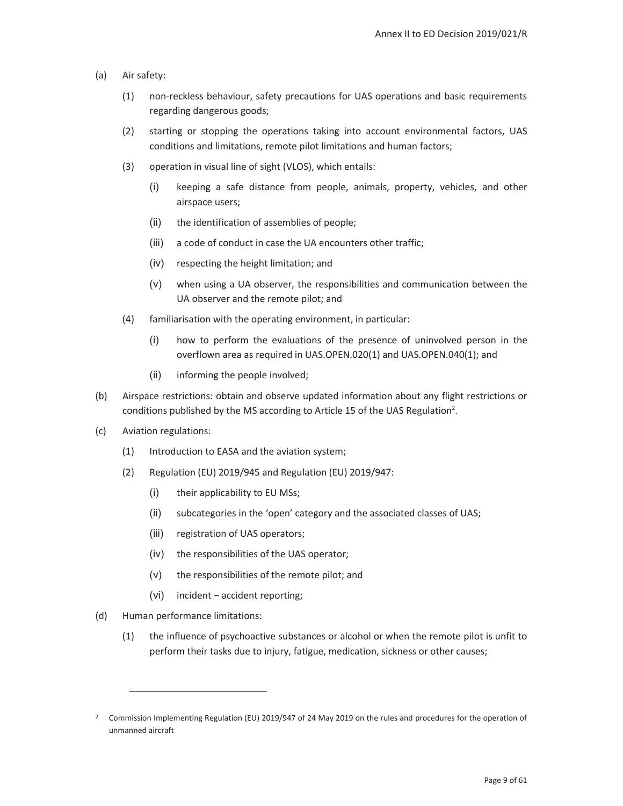- (a) Air safety:
	- (1) non-reckless behaviour, safety precautions for UAS operations and basic requirements regarding dangerous goods;
	- (2) starting or stopping the operations taking into account environmental factors, UAS conditions and limitations, remote pilot limitations and human factors;
	- (3) operation in visual line of sight (VLOS), which entails:
		- (i) keeping a safe distance from people, animals, property, vehicles, and other airspace users;
		- (ii) the identification of assemblies of people;
		- (iii) a code of conduct in case the UA encounters other traffic;
		- (iv) respecting the height limitation; and
		- (v) when using a UA observer, the responsibilities and communication between the UA observer and the remote pilot; and
	- (4) familiarisation with the operating environment, in particular:
		- (i) how to perform the evaluations of the presence of uninvolved person in the overflown area as required in UAS.OPEN.020(1) and UAS.OPEN.040(1); and
		- (ii) informing the people involved;
- (b) Airspace restrictions: obtain and observe updated information about any flight restrictions or conditions published by the MS according to Article 15 of the UAS Regulation<sup>2</sup>.
- (c) Aviation regulations:
	- (1) Introduction to EASA and the aviation system;
	- (2) Regulation (EU) 2019/945 and Regulation (EU) 2019/947:
		- (i) their applicability to EU MSs;
		- (ii) subcategories in the 'open' category and the associated classes of UAS;
		- (iii) registration of UAS operators;
		- (iv) the responsibilities of the UAS operator;
		- (v) the responsibilities of the remote pilot; and
		- (vi) incident accident reporting;
- (d) Human performance limitations:

1

(1) the influence of psychoactive substances or alcohol or when the remote pilot is unfit to perform their tasks due to injury, fatigue, medication, sickness or other causes;

<sup>&</sup>lt;sup>2</sup> Commission Implementing Regulation (EU) 2019/947 of 24 May 2019 on the rules and procedures for the operation of unmanned aircraft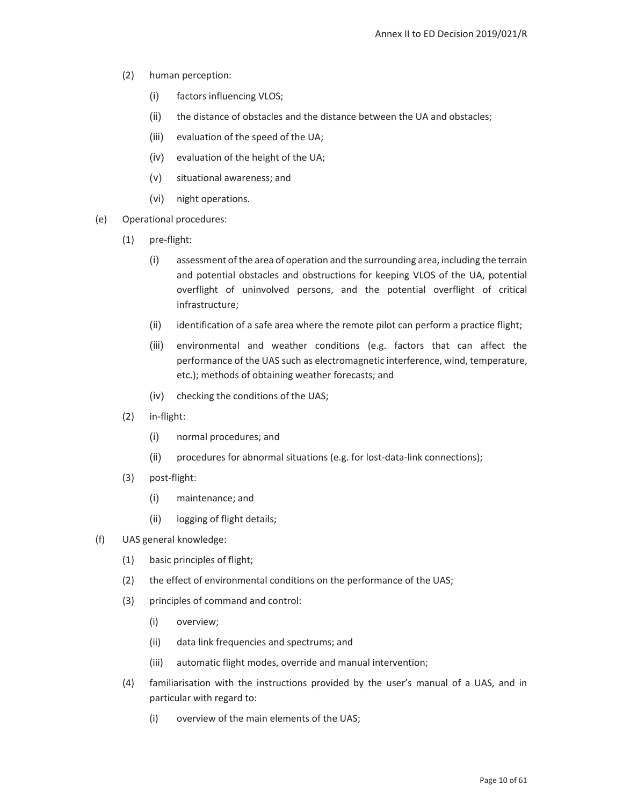- (2) human perception:
	- (i) factors influencing VLOS;
	- (ii) the distance of obstacles and the distance between the UA and obstacles;
	- (iii) evaluation of the speed of the UA;
	- (iv) evaluation of the height of the UA;
	- (v) situational awareness; and
	- (vi) night operations.
- (e) Operational procedures:
	- (1) pre-flight:
		- (i) assessment of the area of operation and the surrounding area, including the terrain and potential obstacles and obstructions for keeping VLOS of the UA, potential overflight of uninvolved persons, and the potential overflight of critical infrastructure;
		- (ii) identification of a safe area where the remote pilot can perform a practice flight;
		- (iii) environmental and weather conditions (e.g. factors that can affect the performance of the UAS such as electromagnetic interference, wind, temperature, etc.); methods of obtaining weather forecasts; and
		- (iv) checking the conditions of the UAS;
	- (2) in-flight:
		- (i) normal procedures; and
		- (ii) procedures for abnormal situations (e.g. for lost-data-link connections);
	- (3) post-flight:
		- (i) maintenance; and
		- (ii) logging of flight details;
- (f) UAS general knowledge:
	- (1) basic principles of flight;
	- (2) the effect of environmental conditions on the performance of the UAS;
	- (3) principles of command and control:
		- (i) overview;
		- (ii) data link frequencies and spectrums; and
		- (iii) automatic flight modes, override and manual intervention;
	- (4) familiarisation with the instructions provided by the user's manual of a UAS, and in particular with regard to:
		- (i) overview of the main elements of the UAS;